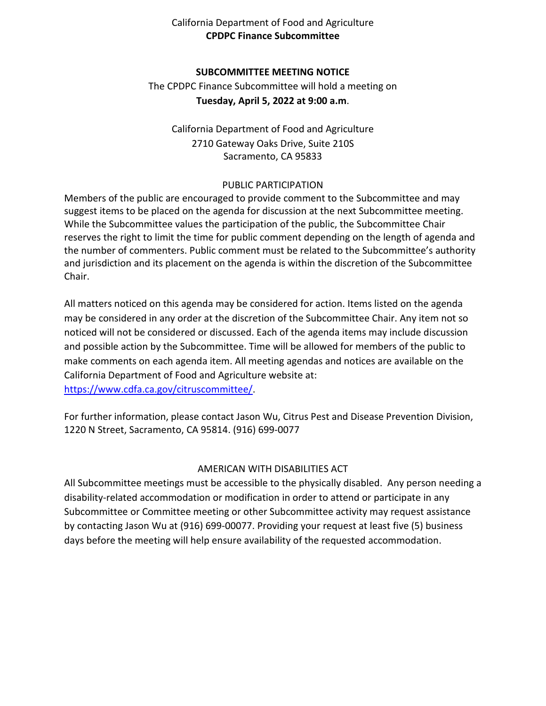# California Department of Food and Agriculture **CPDPC Finance Subcommittee**

### **SUBCOMMITTEE MEETING NOTICE**

 **Tuesday, April 5, 2022 at 9:00 a.m**. The CPDPC Finance Subcommittee will hold a meeting on

California Department of Food and Agriculture 2710 Gateway Oaks Drive, Suite 210S Sacramento, CA 95833

#### PUBLIC PARTICIPATION

 suggest items to be placed on the agenda for discussion at the next Subcommittee meeting. While the Subcommittee values the participation of the public, the Subcommittee Chair Members of the public are encouraged to provide comment to the Subcommittee and may reserves the right to limit the time for public comment depending on the length of agenda and the number of commenters. Public comment must be related to the Subcommittee's authority and jurisdiction and its placement on the agenda is within the discretion of the Subcommittee Chair.

 may be considered in any order at the discretion of the Subcommittee Chair. Any item not so noticed will not be considered or discussed. Each of the agenda items may include discussion and possible action by the Subcommittee. Time will be allowed for members of the public to make comments on each agenda item. All meeting agendas and notices are available on the All matters noticed on this agenda may be considered for action. Items listed on the agenda California Department of Food and Agriculture website at: [https://www.cdfa.ca.gov/citruscommittee/.](https://www.cdfa.ca.gov/citruscommittee/)

 For further information, please contact Jason Wu, Citrus Pest and Disease Prevention Division, 1220 N Street, Sacramento, CA 95814. (916) 699-0077

# AMERICAN WITH DISABILITIES ACT

 All Subcommittee meetings must be accessible to the physically disabled. Any person needing a disability-related accommodation or modification in order to attend or participate in any Subcommittee or Committee meeting or other Subcommittee activity may request assistance by contacting Jason Wu at (916) 699-00077. Providing your request at least five (5) business days before the meeting will help ensure availability of the requested accommodation.